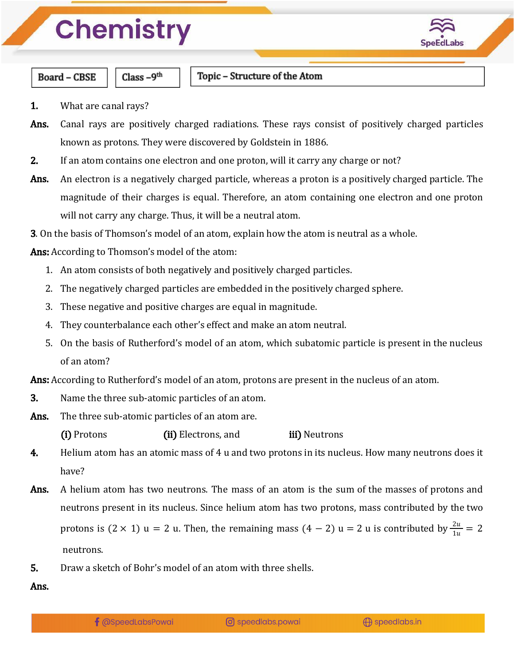

**Board - CBSE** 

Class  $-9<sup>th</sup>$ 

- 1. What are canal rays?
- Ans. Canal rays are positively charged radiations. These rays consist of positively charged particles known as protons. They were discovered by Goldstein in 1886.
- 2. If an atom contains one electron and one proton, will it carry any charge or not?
- Ans. An electron is a negatively charged particle, whereas a proton is a positively charged particle. The magnitude of their charges is equal. Therefore, an atom containing one electron and one proton will not carry any charge. Thus, it will be a neutral atom.
- 3. On the basis of Thomson's model of an atom, explain how the atom is neutral as a whole.
- Ans: According to Thomson's model of the atom:
	- 1. An atom consists of both negatively and positively charged particles.
	- 2. The negatively charged particles are embedded in the positively charged sphere.
	- 3. These negative and positive charges are equal in magnitude.
	- 4. They counterbalance each other's effect and make an atom neutral.
	- 5. On the basis of Rutherford's model of an atom, which subatomic particle is present in the nucleus of an atom?

Ans: According to Rutherford's model of an atom, protons are present in the nucleus of an atom.

- 3. Name the three sub-atomic particles of an atom.
- Ans. The three sub-atomic particles of an atom are.

(i) Protons (ii) Electrons, and iii) Neutrons

- 4. Helium atom has an atomic mass of 4 u and two protons in its nucleus. How many neutrons does it have?
- Ans. A helium atom has two neutrons. The mass of an atom is the sum of the masses of protons and neutrons present in its nucleus. Since helium atom has two protons, mass contributed by the two protons is  $(2 \times 1)$  u = 2 u. Then, the remaining mass  $(4 - 2)$  u = 2 u is contributed by  $\frac{2u}{1u} = 2$ neutrons.
- 5. Draw a sketch of Bohr's model of an atom with three shells.

Ans.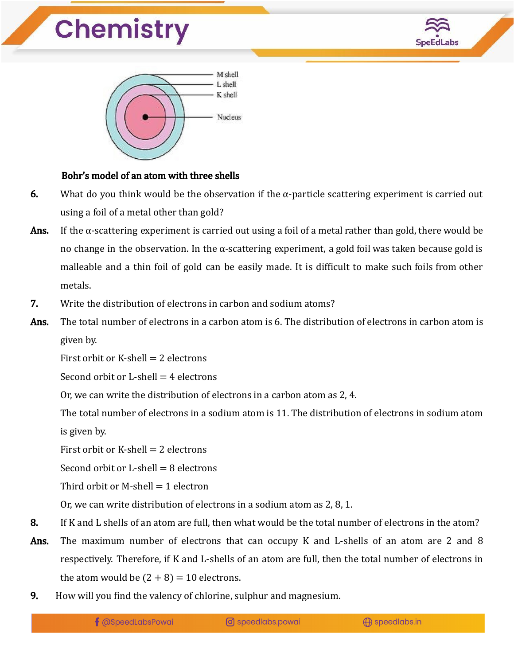



#### Bohr's model of an atom with three shells

- 6. What do you think would be the observation if the  $\alpha$ -particle scattering experiment is carried out using a foil of a metal other than gold?
- Ans. If the  $\alpha$ -scattering experiment is carried out using a foil of a metal rather than gold, there would be no change in the observation. In the  $\alpha$ -scattering experiment, a gold foil was taken because gold is malleable and a thin foil of gold can be easily made. It is difficult to make such foils from other metals.
- 7. Write the distribution of electrons in carbon and sodium atoms?
- **Ans.** The total number of electrons in a carbon atom is 6. The distribution of electrons in carbon atom is given by.

First orbit or K-shell  $= 2$  electrons

Second orbit or  $L$ -shell  $=$  4 electrons

Or, we can write the distribution of electrons in a carbon atom as 2, 4.

The total number of electrons in a sodium atom is 11. The distribution of electrons in sodium atom is given by.

First orbit or K-shell  $= 2$  electrons

Second orbit or  $L$ -shell  $= 8$  electrons

Third orbit or M-shell  $= 1$  electron

Or, we can write distribution of electrons in a sodium atom as 2, 8, 1.

- 8. If K and L shells of an atom are full, then what would be the total number of electrons in the atom?
- Ans. The maximum number of electrons that can occupy K and L-shells of an atom are 2 and 8 respectively. Therefore, if K and L-shells of an atom are full, then the total number of electrons in the atom would be  $(2 + 8) = 10$  electrons.
- 9. How will you find the valency of chlorine, sulphur and magnesium.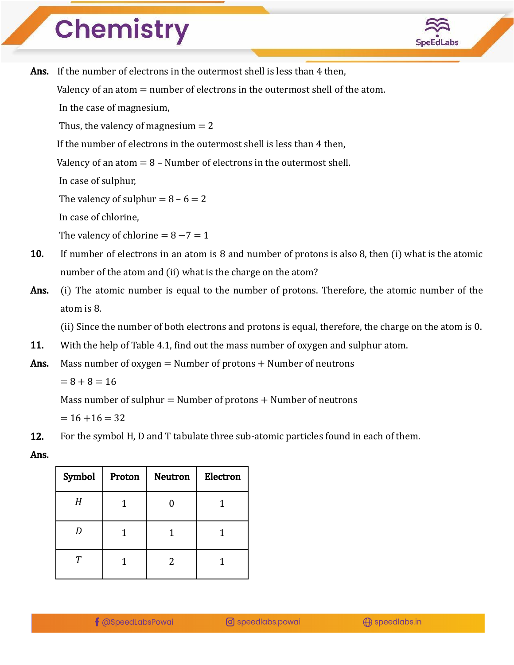

Ans. If the number of electrons in the outermost shell is less than 4 then.

Valency of an atom  $=$  number of electrons in the outermost shell of the atom.

In the case of magnesium,

Thus, the valency of magnesium  $= 2$ 

If the number of electrons in the outermost shell is less than 4 then,

Valency of an atom  $= 8$  – Number of electrons in the outermost shell.

In case of sulphur,

The valency of sulphur  $= 8 - 6 = 2$ 

In case of chlorine,

The valency of chlorine =  $8 - 7 = 1$ 

- 10. If number of electrons in an atom is 8 and number of protons is also 8, then (i) what is the atomic number of the atom and (ii) what is the charge on the atom?
- Ans. (i) The atomic number is equal to the number of protons. Therefore, the atomic number of the atom is 8.

(ii) Since the number of both electrons and protons is equal, therefore, the charge on the atom is 0.

11. With the help of Table 4.1, find out the mass number of oxygen and sulphur atom.

Ans. Mass number of oxygen  $=$  Number of protons  $+$  Number of neutrons

 $= 8 + 8 = 16$ 

Mass number of sulphur  $=$  Number of protons  $+$  Number of neutrons

 $= 16 + 16 = 32$ 

12. For the symbol H, D and T tabulate three sub-atomic particles found in each of them.

Ans.

| Symbol | Proton | <b>Neutron</b> | Electron |
|--------|--------|----------------|----------|
| H      |        |                |          |
|        |        |                |          |
| т      |        | 2              |          |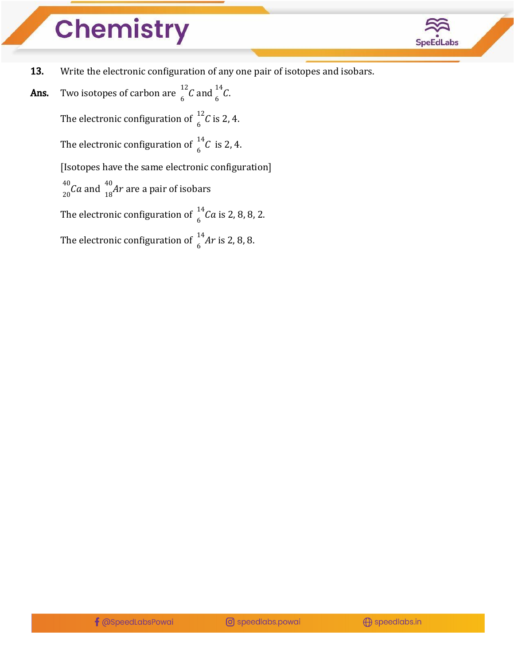

- 13. Write the electronic configuration of any one pair of isotopes and isobars.
- **Ans.** Two isotopes of carbon are  $\int_{6}^{12} C$  and  $\int_{6}^{14} C$ .  $^{12}_{6}$ C and  $^{14}_{6}$  $\int_{c}^{14} C$ . The electronic configuration of  $\int_{6}^{12} C$  is 2, 4.  $\int_{c}^{12} C$ The electronic configuration of  $\int_{6}^{1} C$  is 2, 4.  $\int_{c}^{14} C$ [Isotopes have the same electronic configuration]  $\frac{40}{20}$ Ca and  $\frac{40}{18}$ Ar are a pair of isobars  $^{40}_{20}$ Ca and  $^{40}_{18}$ Ar The electronic configuration of  $\int_{6}^{1}Ca$  is 2, 8, 8, 2.  $\int_{c}^{14}$ Ca The electronic configuration of  $\frac{14}{6}$ Ar is 2, 8, 8.